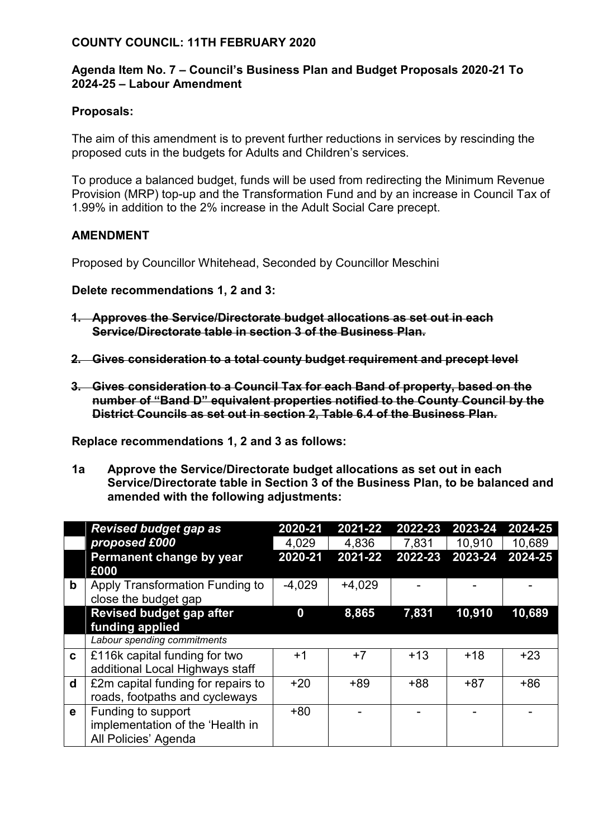## **COUNTY COUNCIL: 11TH FEBRUARY 2020**

## **Agenda Item No. 7 – Council's Business Plan and Budget Proposals 2020-21 To 2024-25 – Labour Amendment**

## **Proposals:**

The aim of this amendment is to prevent further reductions in services by rescinding the proposed cuts in the budgets for Adults and Children's services.

To produce a balanced budget, funds will be used from redirecting the Minimum Revenue Provision (MRP) top-up and the Transformation Fund and by an increase in Council Tax of 1.99% in addition to the 2% increase in the Adult Social Care precept.

## **AMENDMENT**

Proposed by Councillor Whitehead, Seconded by Councillor Meschini

**Delete recommendations 1, 2 and 3:**

- **1. Approves the Service/Directorate budget allocations as set out in each Service/Directorate table in section 3 of the Business Plan.**
- **2. Gives consideration to a total county budget requirement and precept level**
- **3. Gives consideration to a Council Tax for each Band of property, based on the number of "Band D" equivalent properties notified to the County Council by the District Councils as set out in section 2, Table 6.4 of the Business Plan.**

**Replace recommendations 1, 2 and 3 as follows:**

**1a Approve the Service/Directorate budget allocations as set out in each Service/Directorate table in Section 3 of the Business Plan, to be balanced and amended with the following adjustments:**

|             | <b>Revised budget gap as</b><br>proposed £000                                  | 2020-21<br>4,029 | 2021-22<br>4,836 | 2022-23<br>7,831 | 2023-24<br>10,910 | 2024-25<br>10,689 |
|-------------|--------------------------------------------------------------------------------|------------------|------------------|------------------|-------------------|-------------------|
|             | Permanent change by year<br>£000                                               | 2020-21          | 2021-22          | 2022-23          | 2023-24           | 2024-25           |
| $\mathbf b$ | Apply Transformation Funding to<br>close the budget gap                        | $-4,029$         | $+4,029$         |                  |                   |                   |
|             | <b>Revised budget gap after</b><br>funding applied                             | 0                | 8,865            | 7,831            | 10,910            | 10,689            |
|             | Labour spending commitments                                                    |                  |                  |                  |                   |                   |
| C.          | £116k capital funding for two<br>additional Local Highways staff               | $^{\mathrm{+1}}$ | $+7$             | $+13$            | $+18$             | $+23$             |
| d           | £2m capital funding for repairs to<br>roads, footpaths and cycleways           | $+20$            | $+89$            | $+88$            | $+87$             | $+86$             |
| e           | Funding to support<br>implementation of the 'Health in<br>All Policies' Agenda | $+80$            |                  |                  |                   |                   |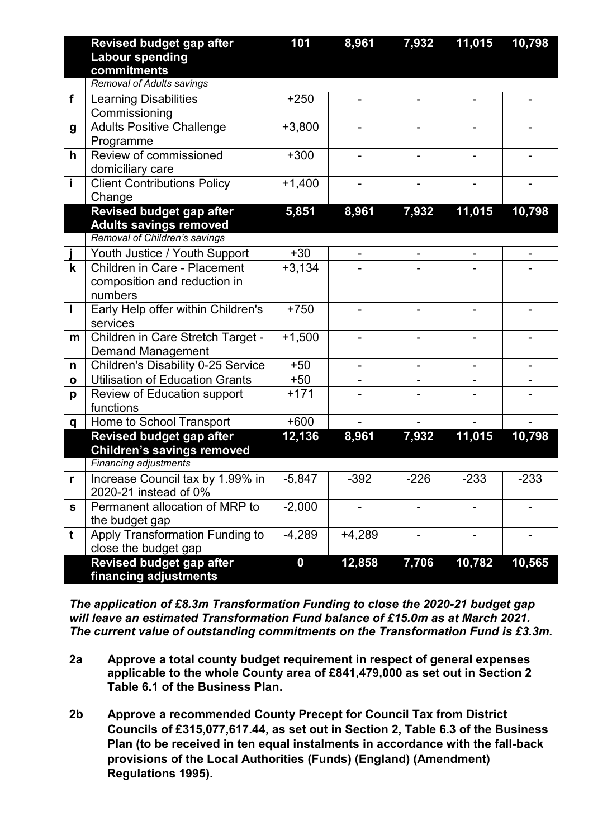|              | <b>Revised budget gap after</b><br><b>Labour spending</b>                                         | 101              | 8,961                    | 7,932  | 11,015 | 10,798 |
|--------------|---------------------------------------------------------------------------------------------------|------------------|--------------------------|--------|--------|--------|
|              | commitments<br><b>Removal of Adults savings</b>                                                   |                  |                          |        |        |        |
| $\mathbf f$  | <b>Learning Disabilities</b><br>Commissioning                                                     | $+250$           |                          |        |        |        |
| g            | <b>Adults Positive Challenge</b><br>Programme                                                     | $+3,800$         |                          |        |        |        |
| h            | Review of commissioned<br>domiciliary care                                                        | $+300$           |                          |        |        |        |
| İ            | <b>Client Contributions Policy</b><br>Change                                                      | $+1,400$         |                          |        |        |        |
|              | <b>Revised budget gap after</b><br><b>Adults savings removed</b><br>Removal of Children's savings | 5,851            | 8,961                    | 7,932  | 11,015 | 10,798 |
|              | Youth Justice / Youth Support                                                                     | $+30$            |                          |        |        |        |
| $\mathsf k$  | Children in Care - Placement<br>composition and reduction in<br>numbers                           | $+3,134$         |                          |        |        |        |
| I            | Early Help offer within Children's<br>services                                                    | $+750$           |                          |        |        |        |
| m            | Children in Care Stretch Target -<br><b>Demand Management</b>                                     | $+1,500$         |                          |        |        |        |
| n            | <b>Children's Disability 0-25 Service</b>                                                         | $+50$            | $\overline{\phantom{a}}$ | -      |        |        |
| $\mathbf{o}$ | <b>Utilisation of Education Grants</b>                                                            | $+50$            |                          |        |        |        |
| p            | Review of Education support<br>functions                                                          | $+171$           |                          |        |        |        |
| q            | Home to School Transport                                                                          | $+600$           |                          |        |        |        |
|              | <b>Revised budget gap after</b><br><b>Children's savings removed</b>                              | 12,136           | 8,961                    | 7,932  | 11,015 | 10,798 |
|              | <b>Financing adjustments</b>                                                                      |                  |                          |        |        |        |
| r            | Increase Council tax by 1.99% in<br>2020-21 instead of 0%                                         | $-5,847$         | $-392$                   | $-226$ | $-233$ | $-233$ |
| S            | Permanent allocation of MRP to<br>the budget gap                                                  | $-2,000$         |                          |        |        |        |
| t            | Apply Transformation Funding to<br>close the budget gap                                           | $-4,289$         | $+4,289$                 |        |        |        |
|              | <b>Revised budget gap after</b><br>financing adjustments                                          | $\boldsymbol{0}$ | 12,858                   | 7,706  | 10,782 | 10,565 |

*The application of £8.3m Transformation Funding to close the 2020-21 budget gap will leave an estimated Transformation Fund balance of £15.0m as at March 2021. The current value of outstanding commitments on the Transformation Fund is £3.3m.*

- **2a Approve a total county budget requirement in respect of general expenses applicable to the whole County area of £841,479,000 as set out in Section 2 Table 6.1 of the Business Plan.**
- **2b Approve a recommended County Precept for Council Tax from District Councils of £315,077,617.44, as set out in Section 2, Table 6.3 of the Business Plan (to be received in ten equal instalments in accordance with the fall-back provisions of the Local Authorities (Funds) (England) (Amendment) Regulations 1995).**